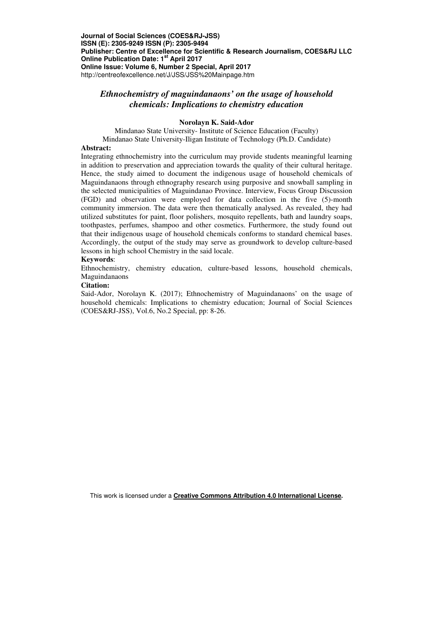# *Ethnochemistry of maguindanaons' on the usage of household chemicals: Implications to chemistry education*

## **Norolayn K. Said-Ador**

Mindanao State University- Institute of Science Education (Faculty) Mindanao State University-Iligan Institute of Technology (Ph.D. Candidate)

#### **Abstract:**

Integrating ethnochemistry into the curriculum may provide students meaningful learning in addition to preservation and appreciation towards the quality of their cultural heritage. Hence, the study aimed to document the indigenous usage of household chemicals of Maguindanaons through ethnography research using purposive and snowball sampling in the selected municipalities of Maguindanao Province. Interview, Focus Group Discussion (FGD) and observation were employed for data collection in the five (5)-month community immersion. The data were then thematically analysed. As revealed, they had utilized substitutes for paint, floor polishers, mosquito repellents, bath and laundry soaps, toothpastes, perfumes, shampoo and other cosmetics. Furthermore, the study found out that their indigenous usage of household chemicals conforms to standard chemical bases. Accordingly, the output of the study may serve as groundwork to develop culture-based lessons in high school Chemistry in the said locale.

#### **Keywords**:

Ethnochemistry, chemistry education, culture-based lessons, household chemicals, Maguindanaons

## **Citation:**

Said-Ador, Norolayn K. (2017); Ethnochemistry of Maguindanaons' on the usage of household chemicals: Implications to chemistry education; Journal of Social Sciences (COES&RJ-JSS), Vol.6, No.2 Special, pp: 8-26.

This work is licensed under a **Creative Commons Attribution 4.0 International License.**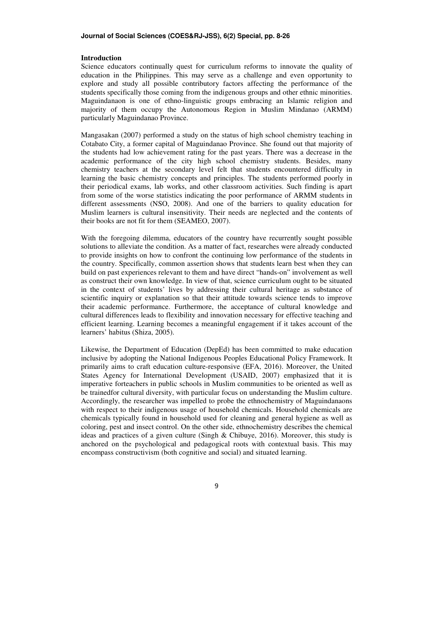## **Journal of Social Sciences (COES&RJ-JSS), 6(2) Special, pp. 8-26**

#### **Introduction**

Science educators continually quest for curriculum reforms to innovate the quality of education in the Philippines. This may serve as a challenge and even opportunity to explore and study all possible contributory factors affecting the performance of the students specifically those coming from the indigenous groups and other ethnic minorities. Maguindanaon is one of ethno-linguistic groups embracing an Islamic religion and majority of them occupy the Autonomous Region in Muslim Mindanao (ARMM) particularly Maguindanao Province.

Mangasakan (2007) performed a study on the status of high school chemistry teaching in Cotabato City, a former capital of Maguindanao Province. She found out that majority of the students had low achievement rating for the past years. There was a decrease in the academic performance of the city high school chemistry students. Besides, many chemistry teachers at the secondary level felt that students encountered difficulty in learning the basic chemistry concepts and principles. The students performed poorly in their periodical exams, lab works, and other classroom activities. Such finding is apart from some of the worse statistics indicating the poor performance of ARMM students in different assessments (NSO, 2008). And one of the barriers to quality education for Muslim learners is cultural insensitivity. Their needs are neglected and the contents of their books are not fit for them (SEAMEO, 2007).

With the foregoing dilemma, educators of the country have recurrently sought possible solutions to alleviate the condition. As a matter of fact, researches were already conducted to provide insights on how to confront the continuing low performance of the students in the country. Specifically, common assertion shows that students learn best when they can build on past experiences relevant to them and have direct "hands-on" involvement as well as construct their own knowledge. In view of that, science curriculum ought to be situated in the context of students' lives by addressing their cultural heritage as substance of scientific inquiry or explanation so that their attitude towards science tends to improve their academic performance. Furthermore, the acceptance of cultural knowledge and cultural differences leads to flexibility and innovation necessary for effective teaching and efficient learning. Learning becomes a meaningful engagement if it takes account of the learners' habitus (Shiza, 2005).

Likewise, the Department of Education (DepEd) has been committed to make education inclusive by adopting the National Indigenous Peoples Educational Policy Framework. It primarily aims to craft education culture-responsive (EFA, 2016). Moreover, the United States Agency for International Development (USAID, 2007) emphasized that it is imperative forteachers in public schools in Muslim communities to be oriented as well as be trainedfor cultural diversity, with particular focus on understanding the Muslim culture. Accordingly, the researcher was impelled to probe the ethnochemistry of Maguindanaons with respect to their indigenous usage of household chemicals. Household chemicals are chemicals typically found in household used for cleaning and general hygiene as well as coloring, pest and insect control. On the other side, ethnochemistry describes the chemical ideas and practices of a given culture (Singh & Chibuye, 2016). Moreover, this study is anchored on the psychological and pedagogical roots with contextual basis. This may encompass constructivism (both cognitive and social) and situated learning.

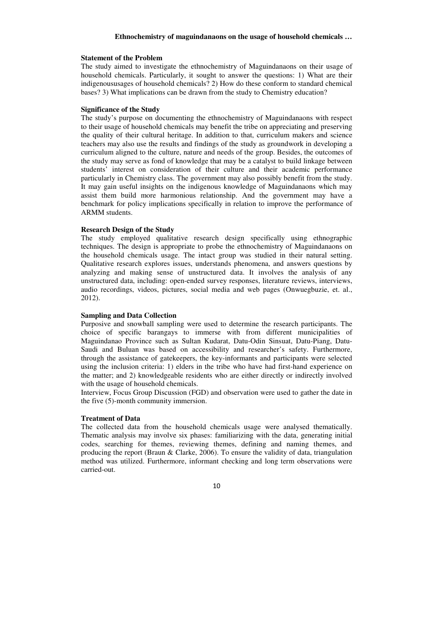### **Statement of the Problem**

The study aimed to investigate the ethnochemistry of Maguindanaons on their usage of household chemicals. Particularly, it sought to answer the questions: 1) What are their indigenoususages of household chemicals? 2) How do these conform to standard chemical bases? 3) What implications can be drawn from the study to Chemistry education?

## **Significance of the Study**

The study's purpose on documenting the ethnochemistry of Maguindanaons with respect to their usage of household chemicals may benefit the tribe on appreciating and preserving the quality of their cultural heritage. In addition to that, curriculum makers and science teachers may also use the results and findings of the study as groundwork in developing a curriculum aligned to the culture, nature and needs of the group. Besides, the outcomes of the study may serve as fond of knowledge that may be a catalyst to build linkage between students' interest on consideration of their culture and their academic performance particularly in Chemistry class. The government may also possibly benefit from the study. It may gain useful insights on the indigenous knowledge of Maguindanaons which may assist them build more harmonious relationship. And the government may have a benchmark for policy implications specifically in relation to improve the performance of ARMM students.

### **Research Design of the Study**

The study employed qualitative research design specifically using ethnographic techniques. The design is appropriate to probe the ethnochemistry of Maguindanaons on the household chemicals usage. The intact group was studied in their natural setting. Qualitative research explores issues, understands phenomena, and answers questions by analyzing and making sense of unstructured data. It involves the analysis of any unstructured data, including: open-ended survey responses, literature reviews, interviews, audio recordings, videos, pictures, social media and web pages (Onwuegbuzie, et. al., 2012).

## **Sampling and Data Collection**

Purposive and snowball sampling were used to determine the research participants. The choice of specific barangays to immerse with from different municipalities of Maguindanao Province such as Sultan Kudarat, Datu-Odin Sinsuat, Datu-Piang, Datu-Saudi and Buluan was based on accessibility and researcher's safety. Furthermore, through the assistance of gatekeepers, the key-informants and participants were selected using the inclusion criteria: 1) elders in the tribe who have had first-hand experience on the matter; and 2) knowledgeable residents who are either directly or indirectly involved with the usage of household chemicals.

Interview, Focus Group Discussion (FGD) and observation were used to gather the date in the five (5)-month community immersion.

### **Treatment of Data**

The collected data from the household chemicals usage were analysed thematically. Thematic analysis may involve six phases: familiarizing with the data, generating initial codes, searching for themes, reviewing themes, defining and naming themes, and producing the report (Braun & Clarke, 2006). To ensure the validity of data, triangulation method was utilized. Furthermore, informant checking and long term observations were carried-out.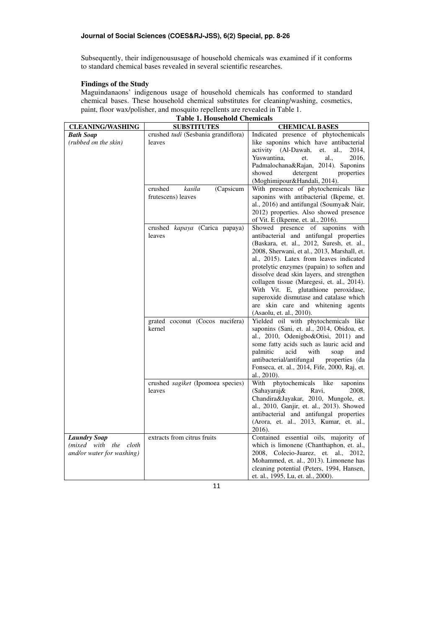Subsequently, their indigenoususage of household chemicals was examined if it conforms to standard chemical bases revealed in several scientific researches.

## **Findings of the Study**

Maguindanaons' indigenous usage of household chemicals has conformed to standard chemical bases. These household chemical substitutes for cleaning/washing, cosmetics, paint, floor wax/polisher, and mosquito repellents are revealed in Table 1.

| <b>CLEANING/WASHING</b>   | <b>SUBSTITUTES</b>                  | <b>CHEMICAL BASES</b>                                       |
|---------------------------|-------------------------------------|-------------------------------------------------------------|
| <b>Bath Soap</b>          | crushed tudi (Sesbania grandiflora) | Indicated presence of phytochemicals                        |
| (rubbed on the skin)      | leaves                              | like saponins which have antibacterial                      |
|                           |                                     | activity (Al-Dawah,<br>et.<br>al.,<br>2014,                 |
|                           |                                     | Yuswantina.<br>al.,<br>2016,<br>et.                         |
|                           |                                     | Padmalochana&Rajan, 2014). Saponins                         |
|                           |                                     | showed<br>detergent<br>properties                           |
|                           |                                     | (Moghimipour&Handali, 2014).                                |
|                           | kasila<br>(Capsicum<br>crushed      | With presence of phytochemicals like                        |
|                           | frutescens) leaves                  | saponins with antibacterial (Ikpeme, et.                    |
|                           |                                     | al., 2016) and antifungal (Soumya& Nair,                    |
|                           |                                     | 2012) properties. Also showed presence                      |
|                           |                                     | of Vit. E (Ikpeme, et. al., 2016).                          |
|                           | crushed kapaya (Carica papaya)      | Showed presence of saponins with                            |
|                           | leaves                              | antibacterial and antifungal properties                     |
|                           |                                     | (Baskara, et. al., 2012, Suresh, et. al.,                   |
|                           |                                     | 2008, Sherwani, et al., 2013, Marshall, et.                 |
|                           |                                     | al., 2015). Latex from leaves indicated                     |
|                           |                                     | protelytic enzymes (papain) to soften and                   |
|                           |                                     | dissolve dead skin layers, and strengthen                   |
|                           |                                     | collagen tissue (Maregesi, et. al., 2014).                  |
|                           |                                     | With Vit. E, glutathione peroxidase,                        |
|                           |                                     | superoxide dismutase and catalase which                     |
|                           |                                     | are skin care and whitening agents                          |
|                           |                                     | (Asaolu, et. al., 2010).                                    |
|                           | grated coconut (Cocos nucifera)     | Yielded oil with phytochemicals like                        |
|                           | kernel                              | saponins (Sani, et. al., 2014, Obidoa, et.                  |
|                           |                                     | al., 2010, Odenigbo&Otisi, 2011) and                        |
|                           |                                     | some fatty acids such as lauric acid and                    |
|                           |                                     | acid<br>palmitic<br>with<br>soap<br>and                     |
|                           |                                     | antibacterial/antifungal<br>properties (da                  |
|                           |                                     | Fonseca, et. al., 2014, Fife, 2000, Raj, et.<br>al., 2010). |
|                           | crushed sagiket (Ipomoea species)   | phytochemicals<br>like<br>With                              |
|                           | leaves                              | saponins<br>(Sahayaraj&<br>Ravi,<br>2008,                   |
|                           |                                     | Chandira&Jayakar, 2010, Mungole, et.                        |
|                           |                                     | al., 2010, Ganjir, et. al., 2013). Showed                   |
|                           |                                     | antibacterial and antifungal properties                     |
|                           |                                     | (Arora, et. al., 2013, Kumar, et. al.,                      |
|                           |                                     | 2016).                                                      |
| <b>Laundry Soap</b>       | extracts from citrus fruits         | Contained essential oils, majority of                       |
| (mixed with the cloth     |                                     | which is limonene (Chanthaphon, et. al.,                    |
| and/or water for washing) |                                     | 2008, Colecio-Juarez, et. al., 2012,                        |
|                           |                                     | Mohammed, et. al., 2013). Limonene has                      |
|                           |                                     | cleaning potential (Peters, 1994, Hansen,                   |
|                           |                                     | et. al., 1995, Lu, et. al., 2000).                          |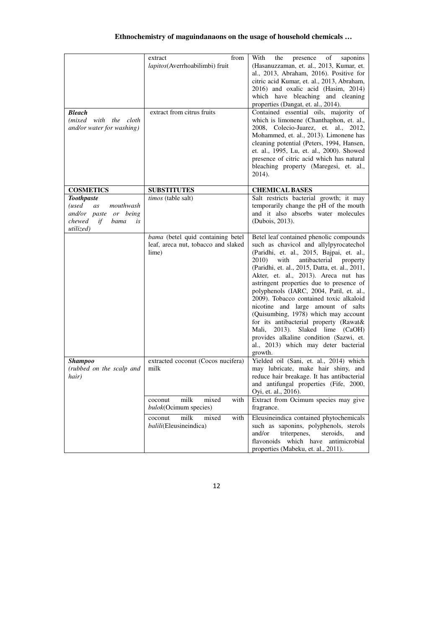| <b>Bleach</b><br>(mixed with the cloth<br>and/or water for washing)                                               | ${\rm from}$<br>extract<br>lapitos(Averrhoabilimbi) fruit<br>extract from citrus fruits | the<br>With<br>presence<br>of<br>saponins<br>(Hasanuzzaman, et. al., 2013, Kumar, et.<br>al., 2013, Abraham, 2016). Positive for<br>citric acid Kumar, et. al., 2013, Abraham,<br>2016) and oxalic acid (Hasim, 2014)<br>which have bleaching and cleaning<br>properties (Dangat, et. al., 2014).<br>Contained essential oils, majority of<br>which is limonene (Chanthaphon, et. al.,<br>2008, Colecio-Juarez, et. al., 2012,<br>Mohammed, et. al., 2013). Limonene has<br>cleaning potential (Peters, 1994, Hansen,<br>et. al., 1995, Lu, et. al., 2000). Showed<br>presence of citric acid which has natural<br>bleaching property (Maregesi, et. al.,<br>2014).   |  |
|-------------------------------------------------------------------------------------------------------------------|-----------------------------------------------------------------------------------------|-----------------------------------------------------------------------------------------------------------------------------------------------------------------------------------------------------------------------------------------------------------------------------------------------------------------------------------------------------------------------------------------------------------------------------------------------------------------------------------------------------------------------------------------------------------------------------------------------------------------------------------------------------------------------|--|
| <b>COSMETICS</b>                                                                                                  | <b>SUBSTITUTES</b>                                                                      | <b>CHEMICAL BASES</b>                                                                                                                                                                                                                                                                                                                                                                                                                                                                                                                                                                                                                                                 |  |
| <b>Toothpaste</b><br>mouthwash<br>(used<br>as<br>and/or paste or being<br>chewed<br>if<br>bama<br>is<br>utilized) | timos (table salt)                                                                      | Salt restricts bacterial growth; it may<br>temporarily change the pH of the mouth<br>and it also absorbs water molecules<br>(Dubois, 2013).                                                                                                                                                                                                                                                                                                                                                                                                                                                                                                                           |  |
|                                                                                                                   | bama (betel quid containing betel<br>leaf, areca nut, tobacco and slaked<br>lime)       | Betel leaf contained phenolic compounds<br>such as chavicol and allylpyrocatechol<br>(Paridhi, et. al., 2015, Bajpai, et. al.,<br>2010)<br>with<br>antibacterial<br>property<br>(Paridhi, et. al., 2015, Datta, et. al., 2011,<br>Akter, et. al., 2013). Areca nut has<br>astringent properties due to presence of<br>polyphenols (IARC, 2004, Patil, et. al.,<br>2009). Tobacco contained toxic alkaloid<br>nicotine and large amount of salts<br>(Quisumbing, 1978) which may account<br>for its antibacterial property (Rawat&<br>2013). Slaked lime (CaOH)<br>Mali,<br>provides alkaline condition (Sazwi, et.<br>al., 2013) which may deter bacterial<br>growth. |  |
| <b>Shampoo</b><br>(rubbed on the scalp and<br>hair)                                                               | extracted coconut (Cocos nucifera)<br>milk                                              | Yielded oil (Sani, et. al., 2014) which<br>may lubricate, make hair shiny, and<br>reduce hair breakage. It has antibacterial<br>and antifungal properties (Fife, 2000,<br>Oyi, et. al., 2016).                                                                                                                                                                                                                                                                                                                                                                                                                                                                        |  |
|                                                                                                                   | milk<br>mixed<br>with<br>coconut<br>bulok(Ocimum species)                               | Extract from Ocimum species may give<br>fragrance.                                                                                                                                                                                                                                                                                                                                                                                                                                                                                                                                                                                                                    |  |
|                                                                                                                   | milk<br>mixed<br>with<br>coconut<br>balili(Eleusineindica)                              | Eleusineindica contained phytochemicals<br>such as saponins, polyphenols, sterols<br>and/or<br>triterpenes,<br>steroids.<br>and<br>flavonoids which have antimicrobial<br>properties (Mabeku, et. al., 2011).                                                                                                                                                                                                                                                                                                                                                                                                                                                         |  |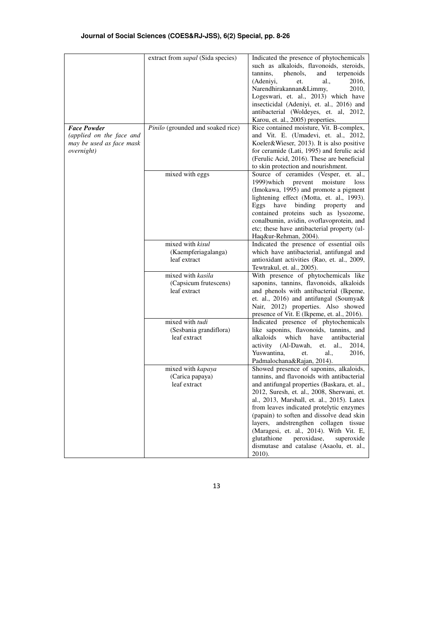| <b>Face Powder</b>                                                         | extract from <i>sapal</i> (Sida species)<br>Pinilo (grounded and soaked rice) | Indicated the presence of phytochemicals<br>such as alkaloids, flavonoids, steroids,<br>tannins,<br>phenols,<br>and<br>terpenoids<br>2016,<br>(Adeniyi,<br>al.,<br>et.<br>Narendhirakannan&Limmy,<br>2010,<br>Logeswari, et. al., 2013) which have<br>insecticidal (Adeniyi, et. al., 2016) and<br>antibacterial (Woldeyes, et. al, 2012,<br>Karou, et. al., 2005) properties.<br>Rice contained moisture, Vit. B-complex,<br>and Vit. E. (Umadevi, et. al., 2012,                                               |
|----------------------------------------------------------------------------|-------------------------------------------------------------------------------|------------------------------------------------------------------------------------------------------------------------------------------------------------------------------------------------------------------------------------------------------------------------------------------------------------------------------------------------------------------------------------------------------------------------------------------------------------------------------------------------------------------|
| (applied on the face and<br>may be used as face mask<br><i>overnight</i> ) |                                                                               | Koeler&Wieser, 2013). It is also positive<br>for ceramide (Lati, 1995) and ferulic acid<br>(Ferulic Acid, 2016). These are beneficial<br>to skin protection and nourishment.                                                                                                                                                                                                                                                                                                                                     |
|                                                                            | mixed with eggs                                                               | Source of ceramides (Vesper, et. al.,<br>1999) which prevent<br>moisture loss<br>(Imokawa, 1995) and promote a pigment<br>lightening effect (Motta, et. al., 1993).<br>Eggs<br>property<br>have<br>binding<br>and<br>contained proteins such as lysozome,<br>conalbumin, avidin, ovoflavoprotein, and<br>etc; these have antibacterial property (ul-<br>Haq&ur-Rehman, 2004).                                                                                                                                    |
|                                                                            | mixed with kisul<br>(Kaempferiagalanga)<br>leaf extract                       | Indicated the presence of essential oils<br>which have antibacterial, antifungal and<br>antioxidant activities (Rao, et. al., 2009,<br>Tewtrakul, et. al., 2005).                                                                                                                                                                                                                                                                                                                                                |
|                                                                            | mixed with kasila<br>(Capsicum frutescens)<br>leaf extract                    | With presence of phytochemicals like<br>saponins, tannins, flavonoids, alkaloids<br>and phenols with antibacterial (Ikpeme,<br>et. al., 2016) and antifungal (Soumya&<br>Nair, 2012) properties. Also showed<br>presence of Vit. E (Ikpeme, et. al., 2016).                                                                                                                                                                                                                                                      |
|                                                                            | mixed with tudi<br>(Sesbania grandiflora)<br>leaf extract                     | Indicated presence of phytochemicals<br>like saponins, flavonoids, tannins, and<br>alkaloids<br>which<br>have<br>antibacterial<br>activity (Al-Dawah,<br>et.<br>al.,<br>2014,<br>Yuswantina.<br>al.,<br>2016,<br>et.<br>Padmalochana&Rajan, 2014).                                                                                                                                                                                                                                                               |
|                                                                            | mixed with kapaya<br>(Carica papaya)<br>leaf extract                          | Showed presence of saponins, alkaloids,<br>tannins, and flavonoids with antibacterial<br>and antifungal properties (Baskara, et. al.,<br>2012, Suresh, et. al., 2008, Sherwani, et.<br>al., 2013, Marshall, et. al., 2015). Latex<br>from leaves indicated protelytic enzymes<br>(papain) to soften and dissolve dead skin<br>layers, andstrengthen collagen tissue<br>(Maragesi, et. al., 2014). With Vit. E,<br>glutathione<br>peroxidase,<br>superoxide<br>dismutase and catalase (Asaolu, et. al.,<br>2010). |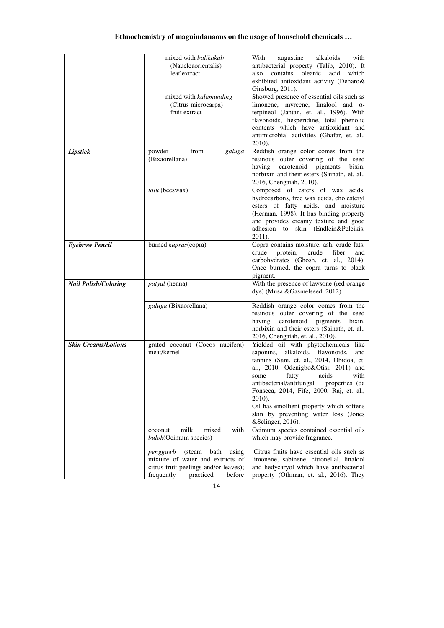|                             | mixed with balikakab<br>(Naucleaorientalis)<br>leaf extract<br>mixed with kalamunding<br>(Citrus microcarpa)<br>fruit extract                         | augustine<br>With<br>alkaloids<br>with<br>antibacterial property (Talib, 2010). It<br>contains oleanic<br>acid<br>which<br>also<br>exhibited antioxidant activity (Deharo&<br>Ginsburg, 2011).<br>Showed presence of essential oils such as<br>limonene, myrcene, linalool and $\alpha$ -<br>terpineol (Jantan, et. al., 1996). With<br>flavonoids, hesperidine, total phenolic<br>contents which have antioxidant and<br>antimicrobial activities (Ghafar, et. al., |  |  |
|-----------------------------|-------------------------------------------------------------------------------------------------------------------------------------------------------|----------------------------------------------------------------------------------------------------------------------------------------------------------------------------------------------------------------------------------------------------------------------------------------------------------------------------------------------------------------------------------------------------------------------------------------------------------------------|--|--|
| Lipstick                    | powder<br>from<br>galuga<br>(Bixaorellana)                                                                                                            | 2010).<br>Reddish orange color comes from the<br>resinous outer covering of the seed<br>carotenoid pigments<br>having<br>bixin,<br>norbixin and their esters (Sainath, et. al.,<br>2016, Chengaiah, 2010).                                                                                                                                                                                                                                                           |  |  |
|                             | talu (beeswax)                                                                                                                                        | Composed of esters of wax acids,<br>hydrocarbons, free wax acids, cholesteryl<br>esters of fatty acids, and moisture<br>(Herman, 1998). It has binding property<br>and provides creamy texture and good<br>adhesion to skin (Endlein&Peleikis,<br>$2011$ ).                                                                                                                                                                                                          |  |  |
| <b>Eyebrow Pencil</b>       | burned kupras(copra)                                                                                                                                  | Copra contains moisture, ash, crude fats,<br>crude<br>protein,<br>crude<br>fiber<br>and<br>carbohydrates (Ghosh, et. al., 2014).<br>Once burned, the copra turns to black<br>pigment.                                                                                                                                                                                                                                                                                |  |  |
| <b>Nail Polish/Coloring</b> | patyal (henna)                                                                                                                                        | With the presence of lawsone (red orange<br>dye) (Musa & Gasmelseed, 2012).                                                                                                                                                                                                                                                                                                                                                                                          |  |  |
|                             | galuga (Bixaorellana)                                                                                                                                 | Reddish orange color comes from the<br>resinous outer covering of the seed<br>carotenoid pigments bixin,<br>having<br>norbixin and their esters (Sainath, et. al.,<br>2016, Chengaiah, et. al., 2010).                                                                                                                                                                                                                                                               |  |  |
| <b>Skin Creams/Lotions</b>  | grated coconut (Cocos nucifera)<br>meat/kernel                                                                                                        | Yielded oil with phytochemicals like<br>saponins, alkaloids, flavonoids,<br>and<br>tannins (Sani, et. al., 2014, Obidoa, et.<br>al., 2010, Odenigbo&Otisi, 2011) and<br>acids<br>with<br>some<br>fatty<br>antibacterial/antifungal<br>properties (da<br>Fonseca, 2014, Fife, 2000, Raj, et. al.,<br>2010).<br>Oil has emollient property which softens<br>skin by preventing water loss (Jones<br>&Selinger, 2016).                                                  |  |  |
|                             | milk<br>mixed<br>with<br>coconut<br>bulok(Ocimum species)                                                                                             | Ocimum species contained essential oils<br>which may provide fragrance.                                                                                                                                                                                                                                                                                                                                                                                              |  |  |
|                             | (steam<br>bath<br>using<br>penggawb<br>mixture of water and extracts of<br>citrus fruit peelings and/or leaves);<br>frequently<br>practiced<br>before | Citrus fruits have essential oils such as<br>limonene, sabinene, citronellal, linalool<br>and hedycaryol which have antibacterial<br>property (Othman, et. al., 2016). They                                                                                                                                                                                                                                                                                          |  |  |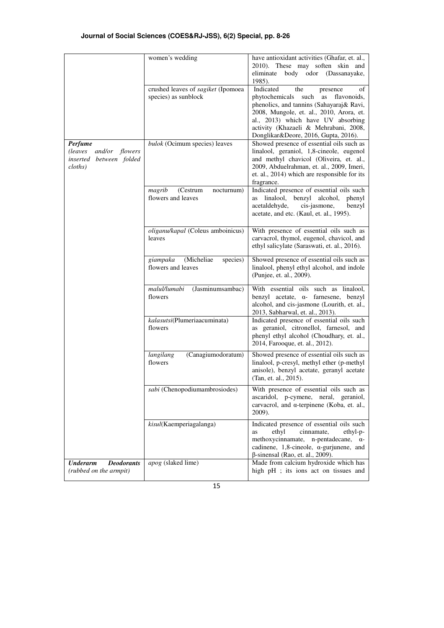|                                                                                   | women's wedding                                            | have antioxidant activities (Ghafar, et. al.,<br>2010). These may soften skin and<br>body odor (Dassanayake,<br>eliminate<br>1985).                                                                                                                                                     |
|-----------------------------------------------------------------------------------|------------------------------------------------------------|-----------------------------------------------------------------------------------------------------------------------------------------------------------------------------------------------------------------------------------------------------------------------------------------|
|                                                                                   | crushed leaves of sagiket (Ipomoea<br>species) as sunblock | Indicated<br>the<br>presence<br>οf<br>phytochemicals such as flavonoids,<br>phenolics, and tannins (Sahayaraj& Ravi,<br>2008, Mungole, et. al., 2010, Arora, et.<br>al., 2013) which have UV absorbing<br>activity (Khazaeli & Mehrabani, 2008,<br>Donglikar&Deore, 2016, Gupta, 2016). |
| <b>Perfume</b><br>and/or flowers<br>(leaves<br>inserted between folded<br>cloths) | bulok (Ocimum species) leaves                              | Showed presence of essential oils such as<br>linalool, geraniol, 1,8-cineole, eugenol<br>and methyl chavicol (Oliveira, et. al.,<br>2009, Abduelrahman, et. al., 2009, Imeri,<br>et. al., 2014) which are responsible for its<br>fragrance.                                             |
|                                                                                   | magrib<br>(Cestrum<br>nocturnum)<br>flowers and leaves     | Indicated presence of essential oils such<br>linalool, benzyl alcohol,<br>phenyl<br>as<br>acetaldehyde,<br>cis-jasmone,<br>benzyl<br>acetate, and etc. (Kaul, et. al., 1995).                                                                                                           |
|                                                                                   | oliganu/kapal (Coleus amboinicus)<br>leaves                | With presence of essential oils such as<br>carvacrol, thymol, eugenol, chavicol, and<br>ethyl salicylate (Saraswati, et. al., 2016).                                                                                                                                                    |
|                                                                                   | (Micheliae<br>giampaka<br>species)<br>flowers and leaves   | Showed presence of essential oils such as<br>linalool, phenyl ethyl alcohol, and indole<br>(Punjee, et. al., 2009).                                                                                                                                                                     |
|                                                                                   | malul/lumabi<br>(Jasminumsambac)<br>flowers                | With essential oils such as linalool,<br>benzyl acetate, α- farnesene, benzyl<br>alcohol, and cis-jasmone (Lourith, et. al.,<br>2013, Sabharwal, et. al., 2013).                                                                                                                        |
|                                                                                   | kalasutsi(Plumeriaacuminata)<br>flowers                    | Indicated presence of essential oils such<br>as geraniol, citronellol, farnesol, and<br>phenyl ethyl alcohol (Choudhary, et. al.,<br>2014, Farooque, et. al., 2012).                                                                                                                    |
|                                                                                   | langilang<br>(Canagiumodoratum)<br>flowers                 | Showed presence of essential oils such as<br>linalool, p-cresyl, methyl ether (p-methyl<br>anisole), benzyl acetate, geranyl acetate<br>(Tan, et. al., 2015).                                                                                                                           |
|                                                                                   | <i>sabi</i> (Chenopodiumambrosiodes)                       | With presence of essential oils such as<br>ascaridol, p-cymene, neral, geraniol,<br>carvacrol, and α-terpinene (Koba, et. al.,<br>2009).                                                                                                                                                |
|                                                                                   | kisul(Kaemperiagalanga)                                    | Indicated presence of essential oils such<br>ethyl<br>cinnamate,<br>ethyl-p-<br>as<br>methoxycinnamate,<br>n-pentadecane, $\alpha$ -<br>cadinene, $1,8$ -cineole, $\alpha$ -gurjunene, and<br>$\beta$ -sinensal (Rao, et. al., 2009).                                                   |
| <b>Deodorants</b><br>Underarm<br>(rubbed on the armpit)                           | apog (slaked lime)                                         | Made from calcium hydroxide which has<br>high pH ; its ions act on tissues and                                                                                                                                                                                                          |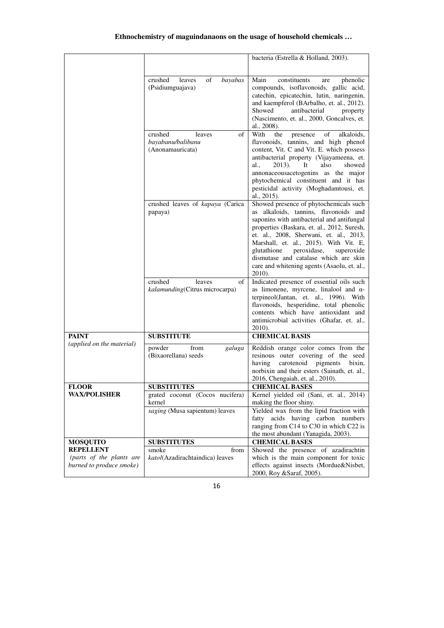|                                                                          |                                                                  | bacteria (Estrella & Holland, 2003).                                                                                                                                                                                                                                                                                                                                                                            |
|--------------------------------------------------------------------------|------------------------------------------------------------------|-----------------------------------------------------------------------------------------------------------------------------------------------------------------------------------------------------------------------------------------------------------------------------------------------------------------------------------------------------------------------------------------------------------------|
|                                                                          | crushed<br>leaves<br>of<br>bayabas<br>(Psidiumguajava)           | Main<br>constituents<br>phenolic<br>are<br>compounds, isoflavonoids, gallic acid,<br>catechin, epicatechin, lutin, naringenin,<br>and kaempferol (BArbalho, et. al., 2012).<br>Showed<br>antibacterial<br>property<br>(Nascimento, et. al., 2000, Goncalves, et.<br>al., 2008).                                                                                                                                 |
|                                                                          | crushed<br>of<br>leaves<br>bayabanu/balibanu<br>(Anonamauricata) | With<br>of<br>the<br>alkaloids,<br>presence<br>flavonoids, tannins, and high phenol<br>content, Vit. C and Vit. E. which possess<br>antibacterial property (Vijayameena, et.<br>$2013$ ).<br>also<br>showed<br>al.,<br>It<br>annonaceousacetogenins as the major<br>phytochemical constituent and it has<br>pesticidal activity (Moghadamtousi, et.<br>al., 2015).                                              |
|                                                                          | crushed leaves of kapaya (Carica<br>papaya)                      | Showed presence of phytochemicals such<br>as alkaloids, tannins, flavonoids and<br>saponins with antibacterial and antifungal<br>properties (Baskara, et. al., 2012, Suresh,<br>et. al., 2008, Sherwani, et. al., 2013,<br>Marshall, et. al., 2015). With Vit. E,<br>glutathione<br>peroxidase,<br>superoxide<br>dismutase and catalase which are skin<br>care and whitening agents (Asaolu, et. al.,<br>2010). |
|                                                                          | of<br>crushed<br>leaves<br>kalamunding(Citrus microcarpa)        | Indicated presence of essential oils such<br>as limonene, myrcene, linalool and $\alpha$ -<br>terpineol(Jantan, et. al., 1996). With<br>flavonoids, hesperidine, total phenolic<br>contents which have antioxidant and<br>antimicrobial activities (Ghafar, et. al.,<br>2010).                                                                                                                                  |
| <b>PAINT</b>                                                             | <b>SUBSTITUTE</b>                                                | <b>CHEMICAL BASIS</b>                                                                                                                                                                                                                                                                                                                                                                                           |
|                                                                          | powder<br>from<br>galuga<br>(Bixaorellana) seeds                 | Reddish orange color comes from the<br>resinous outer covering of the seed<br>carotenoid<br>having<br>pigments<br>bixin,<br>norbixin and their esters (Sainath, et. al.,<br>2016, Chengaiah, et. al., 2010).                                                                                                                                                                                                    |
| <b>FLOOK</b>                                                             | SUBSTITUTES                                                      |                                                                                                                                                                                                                                                                                                                                                                                                                 |
| <b>WAX/POLISHER</b>                                                      | kernel<br>saging (Musa sapientum) leaves                         | Kernel yielded oil (Sani, et. al., 2014)<br>making the floor shiny.<br>Yielded wax from the lipid fraction with<br>fatty acids having carbon numbers<br>ranging from C14 to C30 in which C22 is                                                                                                                                                                                                                 |
| <b>MOSQUITO</b>                                                          |                                                                  |                                                                                                                                                                                                                                                                                                                                                                                                                 |
| <b>REPELLENT</b><br>(parts of the plants are<br>burned to produce smoke) | smoke<br>from<br>katol(Azadirachtaindica) leaves                 | Showed the presence of azadirachtin<br>which is the main component for toxic<br>effects against insects (Mordue&Nisbet,                                                                                                                                                                                                                                                                                         |
| (applied on the material)                                                | grated coconut (Cocos nucifera)<br><b>SUBSTITUTES</b>            | <b>CHEMICAL BASES</b><br>the most abundant (Yanagida, 2003).<br><b>CHEMICAL BASES</b><br>2000, Roy &Saraf, 2005).                                                                                                                                                                                                                                                                                               |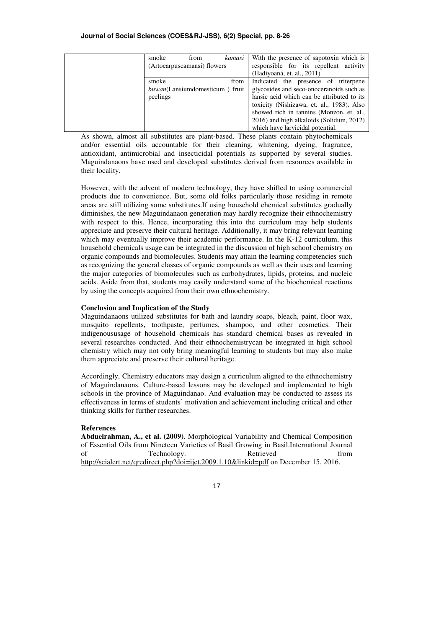| smoke                       | from                                   | kamasi | With the presence of sapotoxin which is    |
|-----------------------------|----------------------------------------|--------|--------------------------------------------|
| (Artocarpuscamansi) flowers |                                        |        | responsible for its repellent activity     |
|                             |                                        |        | (Hadiyoana, et. al., 2011).                |
| smoke                       |                                        | from   | Indicated the presence of triterpene       |
|                             | <i>buwan</i> (Lansiumdomesticum) fruit |        | glycosides and seco-onoceranoids such as   |
| peelings                    |                                        |        | lansic acid which can be attributed to its |
|                             |                                        |        | toxicity (Nishizawa, et. al., 1983). Also  |
|                             |                                        |        | showed rich in tannins (Monzon, et. al.,   |
|                             |                                        |        | 2016) and high alkaloids (Solidum, 2012)   |
|                             |                                        |        | which have larvicidal potential.           |

As shown, almost all substitutes are plant-based. These plants contain phytochemicals and/or essential oils accountable for their cleaning, whitening, dyeing, fragrance, antioxidant, antimicrobial and insecticidal potentials as supported by several studies. Maguindanaons have used and developed substitutes derived from resources available in their locality.

However, with the advent of modern technology, they have shifted to using commercial products due to convenience. But, some old folks particularly those residing in remote areas are still utilizing some substitutes.If using household chemical substitutes gradually diminishes, the new Maguindanaon generation may hardly recognize their ethnochemistry with respect to this. Hence, incorporating this into the curriculum may help students appreciate and preserve their cultural heritage. Additionally, it may bring relevant learning which may eventually improve their academic performance. In the K-12 curriculum, this household chemicals usage can be integrated in the discussion of high school chemistry on organic compounds and biomolecules. Students may attain the learning competencies such as recognizing the general classes of organic compounds as well as their uses and learning the major categories of biomolecules such as carbohydrates, lipids, proteins, and nucleic acids. Aside from that, students may easily understand some of the biochemical reactions by using the concepts acquired from their own ethnochemistry.

### **Conclusion and Implication of the Study**

Maguindanaons utilized substitutes for bath and laundry soaps, bleach, paint, floor wax, mosquito repellents, toothpaste, perfumes, shampoo, and other cosmetics. Their indigenoususage of household chemicals has standard chemical bases as revealed in several researches conducted. And their ethnochemistrycan be integrated in high school chemistry which may not only bring meaningful learning to students but may also make them appreciate and preserve their cultural heritage.

Accordingly, Chemistry educators may design a curriculum aligned to the ethnochemistry of Maguindanaons. Culture-based lessons may be developed and implemented to high schools in the province of Maguindanao. And evaluation may be conducted to assess its effectiveness in terms of students' motivation and achievement including critical and other thinking skills for further researches.

#### **References**

**Abduelrahman, A., et al. (2009)**. Morphological Variability and Chemical Composition of Essential Oils from Nineteen Varieties of Basil Growing in Basil.International Journal of Technology. Retrieved from http://scialert.net/qredirect.php?doi=ijct.2009.1.10&linkid=pdf on December 15, 2016.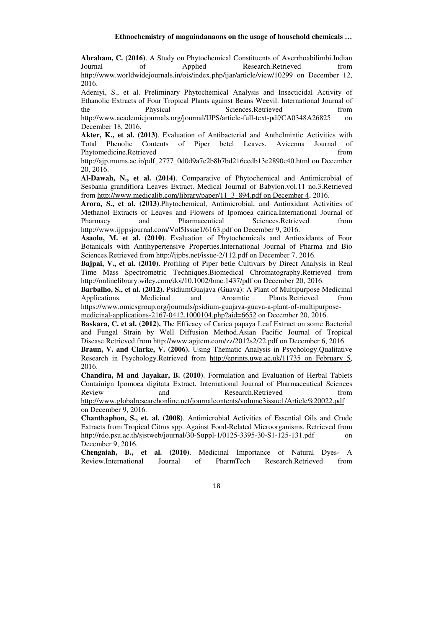**Abraham, C. (2016)**. A Study on Phytochemical Constituents of Averrhoabilimbi.Indian Journal of Applied Research.Retrieved from http://www.worldwidejournals.in/ojs/index.php/ijar/article/view/10299 on December 12, 2016.

Adeniyi, S., et al. Preliminary Phytochemical Analysis and Insecticidal Activity of Ethanolic Extracts of Four Tropical Plants against Beans Weevil. International Journal of the Physical Sciences.Retrieved from http://www.academicjournals.org/journal/IJPS/article-full-text-pdf/CA0348A26825 on

December 18, 2016. **Akter, K., et al. (2013)**. Evaluation of Antibacterial and Anthelmintic Activities with Total Phenolic Contents of Piper betel Leaves. Avicenna Journal of Phytomedicine.Retrieved from  $\blacksquare$ 

http://ajp.mums.ac.ir/pdf\_2777\_0d0d9a7c2b8b7bd216ecdb13c2890c40.html on December 20, 2016.

**Al-Dawah, N., et al. (2014)**. Comparative of Phytochemical and Antimicrobial of Sesbania grandiflora Leaves Extract. Medical Journal of Babylon.vol.11 no.3.Retrieved from http://www.medicaljb.com/library/paper/11\_3\_894.pdf on December 4, 2016.

**Arora, S., et al. (2013)**.Phytochemical, Antimicrobial, and Antioxidant Activities of Methanol Extracts of Leaves and Flowers of Ipomoea cairica.International Journal of Pharmacy and Pharmaceutical Sciences.Retrieved from Pharmacy and Pharmaceutical Sciences.Retrieved from http://www.ijppsjournal.com/Vol5Issue1/6163.pdf on December 9, 2016.

**Asaolu, M. et al. (2010)**. Evaluation of Phytochemicals and Antioxidants of Four Botanicals with Antihypertensive Properties.International Journal of Pharma and Bio Sciences.Retrieved from http://ijpbs.net/issue-2/112.pdf on December 7, 2016.

**Bajpai, V., et al. (2010)**. Profiling of Piper betle Cultivars by Direct Analysis in Real Time Mass Spectrometric Techniques.Biomedical Chromatography.Retrieved from http://onlinelibrary.wiley.com/doi/10.1002/bmc.1437/pdf on December 20, 2016.

**Barbalho, S., et al. (2012).** PsidiumGuajava (Guava): A Plant of Multipurpose Medicinal Applications. Medicinal and Aroamtic Plants.Retrieved from https://www.omicsgroup.org/journals/psidium-guajava-guava-a-plant-of-multipurpose-

medicinal-applications-2167-0412.1000104.php?aid=6652 on December 20, 2016.

**Baskara, C. et al. (2012).** The Efficacy of Carica papaya Leaf Extract on some Bacterial and Fungal Strain by Well Diffusion Method.Asian Pacific Journal of Tropical Disease.Retrieved from http://www.apjtcm.com/zz/2012s2/22.pdf on December 6, 2016.

**Braun, V. and Clarke, V. (2006).** Using Thematic Analysis in Psychology.Qualitative Research in Psychology.Retrieved from http://eprints.uwe.ac.uk/11735 on February 5, 2016.

**Chandira, M and Jayakar, B. (2010)**. Formulation and Evaluation of Herbal Tablets Containign Ipomoea digitata Extract. International Journal of Pharmaceutical Sciences Review and Research.Retrieved from

http://www.globalresearchonline.net/journalcontents/volume3issue1/Article%20022.pdf on December 9, 2016.

**Chanthaphon, S., et. al. (2008)**. Antimicrobial Activities of Essential Oils and Crude Extracts from Tropical Citrus spp. Against Food-Related Microorganisms. Retrieved from http://rdo.psu.ac.th/sjstweb/journal/30-Suppl-1/0125-3395-30-S1-125-131.pdf on December 9, 2016.

**Chengaiah, B., et al. (2010)**. Medicinal Importance of Natural Dyes- A Review.International Journal of PharmTech Research.Retrieved from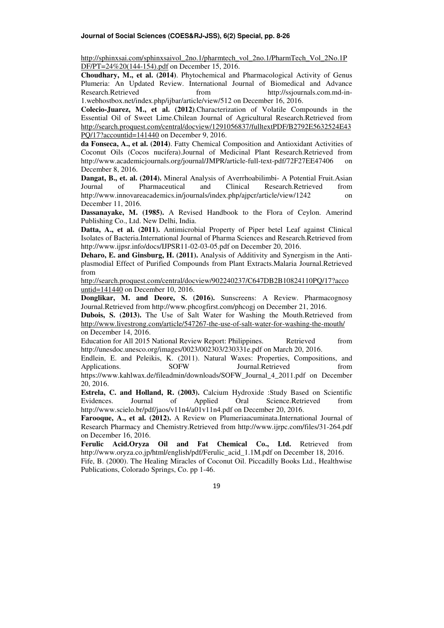http://sphinxsai.com/sphinxsaivol\_2no.1/pharmtech\_vol\_2no.1/PharmTech\_Vol\_2No.1P DF/PT=24%20(144-154).pdf on December 15, 2016.

**Choudhary, M., et al. (2014)**. Phytochemical and Pharmacological Activity of Genus Plumeria: An Updated Review. International Journal of Biomedical and Advance Research.Retrieved from http://ssjournals.com.md-in-1.webhostbox.net/index.php/ijbar/article/view/512 on December 16, 2016.

**Colecio-Juarez, M., et al. (2012)**.Characterization of Volatile Compounds in the Essential Oil of Sweet Lime.Chilean Journal of Agricultural Research.Retrieved from http://search.proquest.com/central/docview/1291056837/fulltextPDF/B2792E5632524E43 PQ/17?accountid=141440 on December 9, 2016.

**da Fonseca, A., et al. (2014)**. Fatty Chemical Composition and Antioxidant Activities of Coconut Oils (Cocos nucifera).Journal of Medicinal Plant Research.Retrieved from http://www.academicjournals.org/journal/JMPR/article-full-text-pdf/72F27EE47406 on December 8, 2016.

**Dangat, B., et. al. (2014).** Mineral Analysis of Averrhoabilimbi- A Potential Fruit.Asian Journal of Pharmaceutical and Clinical Research.Retrieved from http://www.innovareacademics.in/journals/index.php/ajpcr/article/view/1242 on December 11, 2016.

**Dassanayake, M. (1985).** A Revised Handbook to the Flora of Ceylon. Amerind Publishing Co., Ltd. New Delhi, India.

**Datta, A., et al. (2011).** Antimicrobial Property of Piper betel Leaf against Clinical Isolates of Bacteria.International Journal of Pharma Sciences and Research.Retrieved from http://www.ijpsr.info/docs/IJPSR11-02-03-05.pdf on December 20, 2016.

**Deharo, E. and Ginsburg, H. (2011).** Analysis of Additivity and Synergism in the Antiplasmodial Effect of Purified Compounds from Plant Extracts.Malaria Journal.Retrieved from

http://search.proquest.com/central/docview/902240237/C647DB2B10824110PQ/17?acco untid=141440 on December 10, 2016.

**Donglikar, M. and Deore, S. (2016).** Sunscreens: A Review. Pharmacognosy Journal.Retrieved from http://www.phcogfirst.com/phcogj on December 21, 2016.

**Dubois, S. (2013).** The Use of Salt Water for Washing the Mouth.Retrieved from http://www.livestrong.com/article/547267-the-use-of-salt-water-for-washing-the-mouth/ on December 14, 2016.

Education for All 2015 National Review Report: Philippines. Retrieved from http://unesdoc.unesco.org/images/0023/002303/230331e.pdf on March 20, 2016.

Endlein, E. and Peleikis, K. (2011). Natural Waxes: Properties, Compositions, and Applications. SOFW Journal.Retrieved from SOFW Journal.Retrieved from

https://www.kahlwax.de/fileadmin/downloads/SOFW\_Journal\_4\_2011.pdf on December 20, 2016.

**Estrela, C. and Holland, R. (2003).** Calcium Hydroxide :Study Based on Scientific Evidences. Journal of Applied Oral Science.Retrieved from Evidences. Journal of Applied Oral Science.Retrieved from http://www.scielo.br/pdf/jaos/v11n4/a01v11n4.pdf on December 20, 2016.

**Farooque, A., et al. (2012).** A Review on Plumeriaacuminata.International Journal of Research Pharmacy and Chemistry.Retrieved from http://www.ijrpc.com/files/31-264.pdf on December 16, 2016.

**Ferulic Acid.Oryza Oil and Fat Chemical Co., Ltd.** Retrieved from http://www.oryza.co.jp/html/english/pdf/Ferulic\_acid\_1.1M.pdf on December 18, 2016.

Fife, B. (2000). The Healing Miracles of Coconut Oil. Piccadilly Books Ltd., Healthwise Publications, Colorado Springs, Co. pp 1-46.

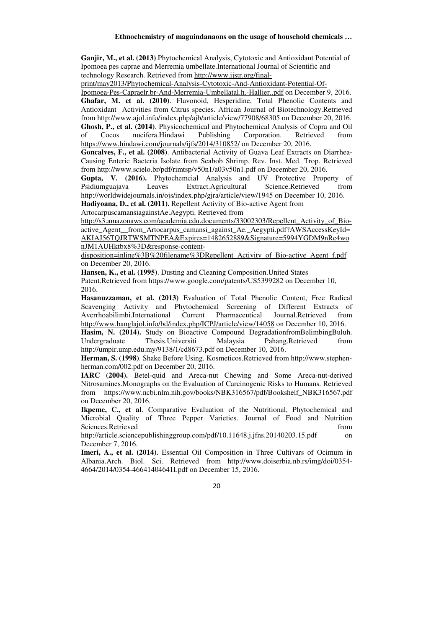**Ganjir, M., et al. (2013)**.Phytochemical Analysis, Cytotoxic and Antioxidant Potential of Ipomoea pes caprae and Merremia umbellate.International Journal of Scientific and technology Research. Retrieved from http://www.ijstr.org/final-

print/may2013/Phytochemical-Analysis-Cytotoxic-And-Antioxidant-Potential-Of-

Ipomoea-Pes-Capraelr.br-And-Merremia-Umbellatal.h.-Hallier..pdf on December 9, 2016. **Ghafar, M. et al. (2010)**. Flavonoid, Hesperidine, Total Phenolic Contents and Antioxidant Activities from Citrus species. African Journal of Biotechnology.Retrieved from http://www.ajol.info/index.php/ajb/article/view/77908/68305 on December 20, 2016. **Ghosh, P., et al. (2014)**. Physicochemical and Phytochemical Analysis of Copra and Oil of Cocos nucifera.Hindawi Publishing Corporation. Retrieved from https://www.hindawi.com/journals/ijfs/2014/310852/ on December 20, 2016.

**Goncalves, F., et al. (2008)**. Antibacterial Activity of Guava Leaf Extracts on Diarrhea-Causing Enteric Bacteria Isolate from Seabob Shrimp. Rev. Inst. Med. Trop. Retrieved from http://www.scielo.br/pdf/rimtsp/v50n1/a03v50n1.pdf on December 20, 2016.

**Gupta, V. (2016).** Phytochemcial Analysis and UV Protective Property of Psidiumguajava Leaves Extract.Agricultural Science.Retrieved from http://worldwidejournals.in/ojs/index.php/gjra/article/view/1945 on December 10, 2016.

**Hadiyoana, D., et al. (2011).** Repellent Activity of Bio-active Agent from

ArtocarpuscamansiagainstAe.Aegypti. Retrieved from

http://s3.amazonaws.com/academia.edu.documents/33002303/Repellent\_Activity\_of\_Bioactive Agent from Artocarpus camansi against Ae. Aegypti.pdf?AWSAccessKeyId= AKIAJ56TQJRTWSMTNPEA&Expires=1482652889&Signature=5994YGDM9nRc4wo nJM1AUHktbx8%3D&response-content-

disposition=inline%3B%20filename%3DRepellent\_Activity\_of\_Bio-active\_Agent\_f.pdf on December 20, 2016.

**Hansen, K., et al. (1995)**. Dusting and Cleaning Composition.United States Patent.Retrieved from https://www.google.com/patents/US5399282 on December 10, 2016.

**Hasanuzzaman, et al. (2013)** Evaluation of Total Phenolic Content, Free Radical Scavenging Activity and Phytochemical Screening of Different Extracts of Averrhoabilimbi.International Current Pharmaceutical Journal.Retrieved from http://www.banglajol.info/bd/index.php/ICPJ/article/view/14058 on December 10, 2016.

**Hasim, N. (2014).** Study on Bioactive Compound DegradationfromBelimbingBuluh. Undergraduate Thesis.Universiti Malaysia Pahang.Retrieved from http://umpir.ump.edu.my/9138/1/cd8673.pdf on December 10, 2016.

**Herman, S. (1998)**. Shake Before Using. Kosmeticos.Retrieved from http://www.stephenherman.com/002.pdf on December 20, 2016.

**IARC (2004).** Betel-quid and Areca-nut Chewing and Some Areca-nut-derived Nitrosamines.Monographs on the Evaluation of Carcinogenic Risks to Humans. Retrieved from https://www.ncbi.nlm.nih.gov/books/NBK316567/pdf/Bookshelf\_NBK316567.pdf on December 20, 2016.

**Ikpeme, C., et al**. Comparative Evaluation of the Nutritional, Phytochemical and Microbial Quality of Three Pepper Varieties. Journal of Food and Nutrition Sciences.Retrieved from the state of the state of the state of the state of the state of the state of the state of the state of the state of the state of the state of the state of the state of the state of the state of the

http://article.sciencepublishinggroup.com/pdf/10.11648.j.jfns.20140203.15.pdf on December 7, 2016.

**Imeri, A., et al. (2014)**. Essential Oil Composition in Three Cultivars of Ocimum in Albania.Arch. Biol. Sci. Retrieved from http://www.doiserbia.nb.rs/img/doi/0354- 4664/2014/0354-46641404641I.pdf on December 15, 2016.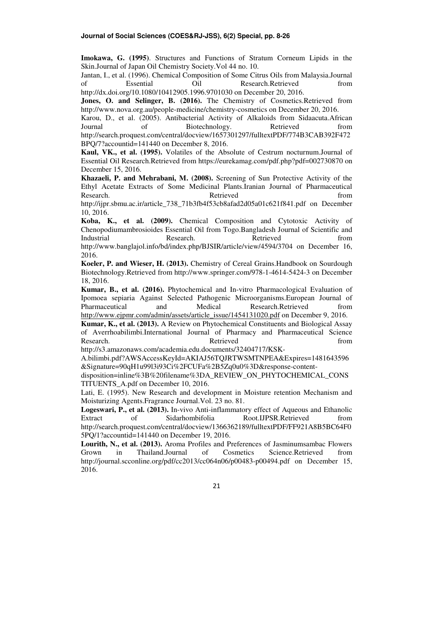**Imokawa, G. (1995)**. Structures and Functions of Stratum Corneum Lipids in the Skin.Journal of Japan Oil Chemistry Society.Vol 44 no. 10.

Jantan, I., et al. (1996). Chemical Composition of Some Citrus Oils from Malaysia.Journal of Essential Oil Research.Retrieved from http://dx.doi.org/10.1080/10412905.1996.9701030 on December 20, 2016.

**Jones, O. and Selinger, B. (2016).** The Chemistry of Cosmetics.Retrieved from http://www.nova.org.au/people-medicine/chemistry-cosmetics on December 20, 2016.

Karou, D., et al. (2005). Antibacterial Activity of Alkaloids from Sidaacuta.African Journal of Biotechnology. Retrieved from http://search.proquest.com/central/docview/1657301297/fulltextPDF/774B3CAB392F472 BPQ/7?accountid=141440 on December 8, 2016.

**Kaul, VK., et al. (1995).** Volatiles of the Absolute of Cestrum nocturnum.Journal of Essential Oil Research.Retrieved from https://eurekamag.com/pdf.php?pdf=002730870 on December 15, 2016.

**Khazaeli, P. and Mehrabani, M. (2008).** Screening of Sun Protective Activity of the Ethyl Acetate Extracts of Some Medicinal Plants.Iranian Journal of Pharmaceutical Research. The contract of the Retrieved contract and the search. The search of the search of the search of the search of the search of the search of the search of the search of the search of the search of the search of the

http://ijpr.sbmu.ac.ir/article\_738\_71b3fb4f53cb8afad2d05a01c621f841.pdf on December 10, 2016.

**Koba, K., et al. (2009).** Chemical Composition and Cytotoxic Activity of Chenopodiumambrosioides Essential Oil from Togo.Bangladesh Journal of Scientific and Industrial **Research.** Research. Retrieved **reduces** from http://www.banglajol.info/bd/index.php/BJSIR/article/view/4594/3704 on December 16, 2016.

**Koeler, P. and Wieser, H. (2013).** Chemistry of Cereal Grains.Handbook on Sourdough Biotechnology.Retrieved from http://www.springer.com/978-1-4614-5424-3 on December 18, 2016.

**Kumar, B., et al. (2016).** Phytochemical and In-vitro Pharmacological Evaluation of Ipomoea sepiaria Against Selected Pathogenic Microorganisms.European Journal of Pharmaceutical and Medical Research.Retrieved from http://www.ejpmr.com/admin/assets/article\_issue/1454131020.pdf on December 9, 2016.

**Kumar, K., et al. (2013).** A Review on Phytochemical Constituents and Biological Assay of Averrhoabilimbi.International Journal of Pharmacy and Pharmaceutical Science Research. The contract of the Retrieved contract the from the from the search.

http://s3.amazonaws.com/academia.edu.documents/32404717/KSK-

A.bilimbi.pdf?AWSAccessKeyId=AKIAJ56TQJRTWSMTNPEA&Expires=1481643596 &Signature=90qH1u99l3i93Ci%2FCUFa%2B5Zq0u0%3D&response-content-

disposition=inline%3B%20filename%3DA\_REVIEW\_ON\_PHYTOCHEMICAL\_CONS TITUENTS\_A.pdf on December 10, 2016.

Lati, E. (1995). New Research and development in Moisture retention Mechanism and Moisturizing Agents.Fragrance Journal.Vol. 23 no. 81.

**Logeswari, P., et al. (2013).** In-vivo Anti-inflammatory effect of Aqueous and Ethanolic Extract of Sidarhombifolia Root.IJPSR.Retrieved from http://search.proquest.com/central/docview/1366362189/fulltextPDF/FF921A8B5BC64F0 5PQ/1?accountid=141440 on December 19, 2016.

**Lourith, N., et al. (2013).** Aroma Profiles and Preferences of Jasminumsambac Flowers Grown in Thailand.Journal of Cosmetics Science.Retrieved from http://journal.scconline.org/pdf/cc2013/cc064n06/p00483-p00494.pdf on December 15, 2016.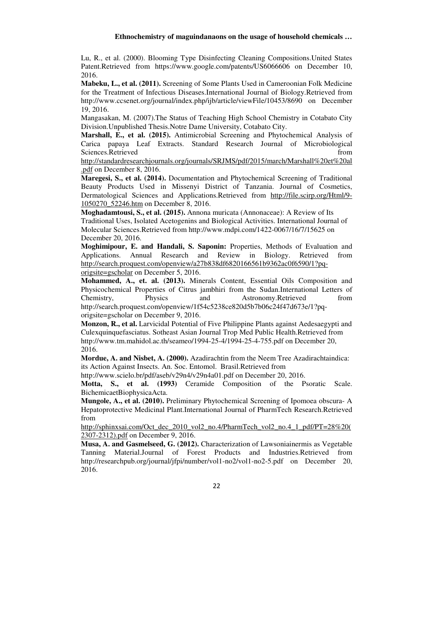Lu, R., et al. (2000). Blooming Type Disinfecting Cleaning Compositions.United States Patent.Retrieved from https://www.google.com/patents/US6066606 on December 10, 2016.

**Mabeku, L., et al. (2011).** Screening of Some Plants Used in Cameroonian Folk Medicine for the Treatment of Infectious Diseases.International Journal of Biology.Retrieved from http://www.ccsenet.org/journal/index.php/ijb/article/viewFile/10453/8690 on December 19, 2016.

Mangasakan, M. (2007).The Status of Teaching High School Chemistry in Cotabato City Division.Unpublished Thesis.Notre Dame University, Cotabato City.

**Marshall, E., et al. (2015).** Antimicrobial Screening and Phytochemical Analysis of Carica papaya Leaf Extracts. Standard Research Journal of Microbiological Sciences.Retrieved from the state of the state of the state of the state of the state of the state of the state of the state of the state of the state of the state of the state of the state of the state of the state of the

http://standardresearchjournals.org/journals/SRJMS/pdf/2015/march/Marshall%20et%20al .pdf on December 8, 2016.

**Maregesi, S., et al. (2014).** Documentation and Phytochemical Screening of Traditional Beauty Products Used in Missenyi District of Tanzania. Journal of Cosmetics, Dermatological Sciences and Applications.Retrieved from http://file.scirp.org/Html/9- 1050270\_52246.htm on December 8, 2016.

**Moghadamtousi, S., et al. (2015).** Annona muricata (Annonaceae): A Review of Its Traditional Uses, Isolated Acetogenins and Biological Activities. International Journal of Molecular Sciences.Retrieved from http://www.mdpi.com/1422-0067/16/7/15625 on December 20, 2016.

**Moghimipour, E. and Handali, S. Saponin:** Properties, Methods of Evaluation and Applications. Annual Research and Review in Biology. Retrieved from http://search.proquest.com/openview/a27b838df6820166561b9362ac0f6590/1?pqorigsite=gscholar on December 5, 2016.

**Mohammed, A., et. al. (2013).** Minerals Content, Essential Oils Composition and Physicochemical Properties of Citrus jambhiri from the Sudan.International Letters of Chemistry, Physics and Astronomy.Retrieved from http://search.proquest.com/openview/1f54c5238ce820d5b7b06c24f47d673e/1?pq-

origsite=gscholar on December 9, 2016.

**Monzon, R., et al.** Larvicidal Potential of Five Philippine Plants against Aedesaegypti and Culexquinquefasciatus. Sotheast Asian Journal Trop Med Public Health.Retrieved from http://www.tm.mahidol.ac.th/seameo/1994-25-4/1994-25-4-755.pdf on December 20, 2016.

**Mordue, A. and Nisbet, A. (2000).** Azadirachtin from the Neem Tree Azadirachtaindica: its Action Against Insects. An. Soc. Entomol. Brasil.Retrieved from

http://www.scielo.br/pdf/aseb/v29n4/v29n4a01.pdf on December 20, 2016.

**Motta, S., et al. (1993)** Ceramide Composition of the Psoratic Scale. BichemicaetBiophysicaActa.

**Mungole, A., et al. (2010).** Preliminary Phytochemical Screening of Ipomoea obscura- A Hepatoprotective Medicinal Plant.International Journal of PharmTech Research.Retrieved from

http://sphinxsai.com/Oct\_dec\_2010\_vol2\_no.4/PharmTech\_vol2\_no.4\_1\_pdf/PT=28%20( 2307-2312).pdf on December 9, 2016.

**Musa, A. and Gasmelseed, G. (2012).** Characterization of Lawsoniainermis as Vegetable Tanning Material.Journal of Forest Products and Industries.Retrieved from http://researchpub.org/journal/jfpi/number/vol1-no2/vol1-no2-5.pdf on December 20, 2016.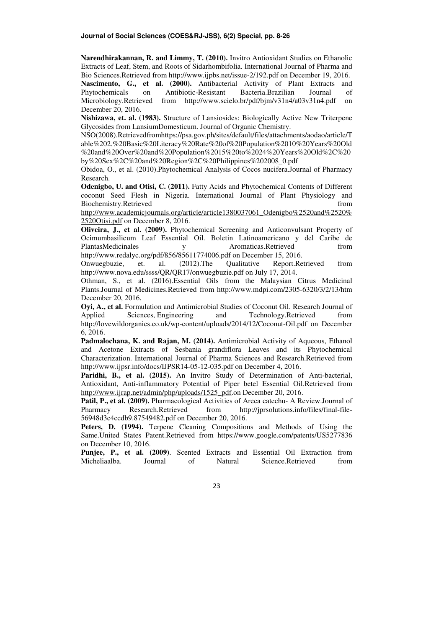**Narendhirakannan, R. and Limmy, T. (2010).** Invitro Antioxidant Studies on Ethanolic Extracts of Leaf, Stem, and Roots of Sidarhombifolia. International Journal of Pharma and Bio Sciences.Retrieved from http://www.ijpbs.net/issue-2/192.pdf on December 19, 2016.

**Nascimento, G., et al. (2000).** Antibacterial Activity of Plant Extracts and Phytochemicals on Antibiotic-Resistant Bacteria.Brazilian Journal of Microbiology.Retrieved from http://www.scielo.br/pdf/bjm/v31n4/a03v31n4.pdf on December 20, 2016.

**Nishizawa, et. al. (1983).** Structure of Lansiosides: Biologically Active New Triterpene Glycosides from LansiumDomesticum. Journal of Organic Chemistry.

NSO(2008).Retrievedfromhttps://psa.gov.ph/sites/default/files/attachments/aodao/article/T able%202.%20Basic%20Literacy%20Rate%20of%20Population%2010%20Years%20Old %20and%20Over%20and%20Population%2015%20to%2024%20Years%20Old%2C%20 by%20Sex%2C%20and%20Region%2C%20Philippines%202008\_0.pdf

Obidoa, O., et al. (2010).Phytochemical Analysis of Cocos nucifera.Journal of Pharmacy Research.

**Odenigbo, U. and Otisi, C. (2011).** Fatty Acids and Phytochemical Contents of Different coconut Seed Flesh in Nigeria. International Journal of Plant Physiology and Biochemistry.Retrieved from the state of the state of the state of the state of the state of the state of the state of the state of the state of the state of the state of the state of the state of the state of the state of

http://www.academicjournals.org/article/article1380037061\_Odenigbo%2520and%2520% 2520Otisi.pdf on December 8, 2016.

**Oliveira, J., et al. (2009).** Phytochemical Screening and Anticonvulsant Property of Ocimumbasilicum Leaf Essential Oil. Boletin Latinoamericano y del Caribe de PlantasMedicinales y Aromaticas.Retrieved from http://www.redalyc.org/pdf/856/85611774006.pdf on December 15, 2016.

Onwuegbuzie, et. al. (2012).The Qualitative Report.Retrieved from http://www.nova.edu/ssss/QR/QR17/onwuegbuzie.pdf on July 17, 2014.

Othman, S., et al. (2016).Essential Oils from the Malaysian Citrus Medicinal Plants.Journal of Medicines.Retrieved from http://www.mdpi.com/2305-6320/3/2/13/htm December 20, 2016.

**Oyi, A., et al.** Formulation and Antimicrobial Studies of Coconut Oil. Research Journal of Applied Sciences, Engineering and Technology.Retrieved from http://lovewildorganics.co.uk/wp-content/uploads/2014/12/Coconut-Oil.pdf on December 6, 2016.

**Padmalochana, K. and Rajan, M. (2014).** Antimicrobial Activity of Aqueous, Ethanol and Acetone Extracts of Sesbania grandiflora Leaves and its Phytochemical Characterization. International Journal of Pharma Sciences and Research.Retrieved from http://www.ijpsr.info/docs/IJPSR14-05-12-035.pdf on December 4, 2016.

**Paridhi, B., et al. (2015).** An Invitro Study of Determination of Anti-bacterial, Antioxidant, Anti-inflammatory Potential of Piper betel Essential Oil.Retrieved from http://www.ijrap.net/admin/php/uploads/1525\_pdf.on December 20, 2016.

Patil, P., et al. (2009). Pharmacological Activities of Areca catechu- A Review.Journal of Pharmacy Research.Retrieved from http://jprsolutions.info/files/final-file-56948d3c4ccdb9.87549482.pdf on December 20, 2016.

**Peters, D. (1994).** Terpene Cleaning Compositions and Methods of Using the Same.United States Patent.Retrieved from https://www.google.com/patents/US5277836 on December 10, 2016.

**Punjee, P., et al. (2009)**. Scented Extracts and Essential Oil Extraction from Micheliaalba. Journal of Natural Science.Retrieved from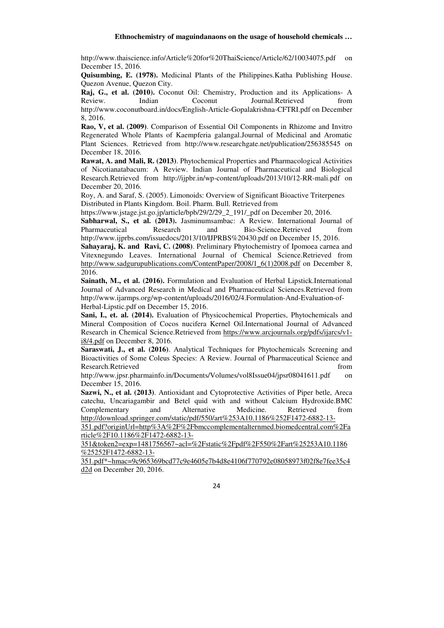http://www.thaiscience.info/Article%20for%20ThaiScience/Article/62/10034075.pdf on December 15, 2016.

**Quisumbing, E. (1978).** Medicinal Plants of the Philippines.Katha Publishing House. Quezon Avenue, Quezon City.

**Raj, G., et al. (2010).** Coconut Oil: Chemistry, Production and its Applications- A Review. Indian Coconut Journal.Retrieved from http://www.coconutboard.in/docs/English-Article-Gopalakrishna-CFTRI.pdf on December 8, 2016.

**Rao, V, et al. (2009)**. Comparison of Essential Oil Components in Rhizome and Invitro Regenerated Whole Plants of Kaempferia galangal.Journal of Medicinal and Aromatic Plant Sciences. Retrieved from http://www.researchgate.net/publication/256385545 on December 18, 2016.

**Rawat, A. and Mali, R. (2013)**. Phytochemical Properties and Pharmacological Activities of Nicotianatabacum: A Review. Indian Journal of Pharmaceutical and Biological Research.Retrieved from http://ijpbr.in/wp-content/uploads/2013/10/12-RR-mali.pdf on December 20, 2016.

Roy, A. and Saraf, S. (2005). Limonoids: Overview of Significant Bioactive Triterpenes Distributed in Plants Kingdom. Boil. Pharm. Bull. Retrieved from

https://www.jstage.jst.go.jp/article/bpb/29/2/29\_2\_191/\_pdf on December 20, 2016.

**Sabharwal, S., et al. (2013).** Jasminumsambac: A Review. International Journal of Pharmaceutical Research and Bio-Science.Retrieved from http://www.ijprbs.com/issuedocs/2013/10/IJPRBS%20430.pdf on December 15, 2016.

**Sahayaraj, K. and Ravi, C. (2008)**. Preliminary Phytochemistry of Ipomoea carnea and Vitexnegundo Leaves. International Journal of Chemical Science.Retrieved from http://www.sadgurupublications.com/ContentPaper/2008/1\_6(1)2008.pdf on December 8, 2016.

**Sainath, M., et al. (2016).** Formulation and Evaluation of Herbal Lipstick.International Journal of Advanced Research in Medical and Pharmaceutical Sciences.Retrieved from http://www.ijarmps.org/wp-content/uploads/2016/02/4.Formulation-And-Evaluation-of-Herbal-Lipstic.pdf on December 15, 2016.

**Sani, I., et. al. (2014).** Evaluation of Physicochemical Properties, Phytochemicals and Mineral Composition of Cocos nucifera Kernel Oil.International Journal of Advanced Research in Chemical Science.Retrieved from https://www.arcjournals.org/pdfs/ijarcs/v1 i8/4.pdf on December 8, 2016.

**Saraswati, J., et al. (2016)**. Analytical Techniques for Phytochemicals Screening and Bioactivities of Some Coleus Species: A Review. Journal of Pharmaceutical Science and Research.Retrieved from the search.Retrieved from the search.Retrieved from the search.Retrieved from the search of  $\mathbb{R}^n$ 

http://www.jpsr.pharmainfo.in/Documents/Volumes/vol8Issue04/jpsr08041611.pdf on December 15, 2016.

**Sazwi, N., et al. (2013)**. Antioxidant and Cytoprotective Activities of Piper betle, Areca catechu, Uncariagambir and Betel quid with and without Calcium Hydroxide.BMC Complementary and Alternative Medicine. Retrieved from

http://download.springer.com/static/pdf/550/art%253A10.1186%252F1472-6882-13- 351.pdf?originUrl=http%3A%2F%2Fbmccomplementalternmed.biomedcentral.com%2Fa rticle%2F10.1186%2F1472-6882-13-

351&token2=exp=1481756567~acl=%2Fstatic%2Fpdf%2F550%2Fart%25253A10.1186 %25252F1472-6882-13-

351.pdf\*~hmac=9c965369bcd77c9e4605e7b4d8e4106f770792e08058973f02f8e7fee35c4 d2d on December 20, 2016.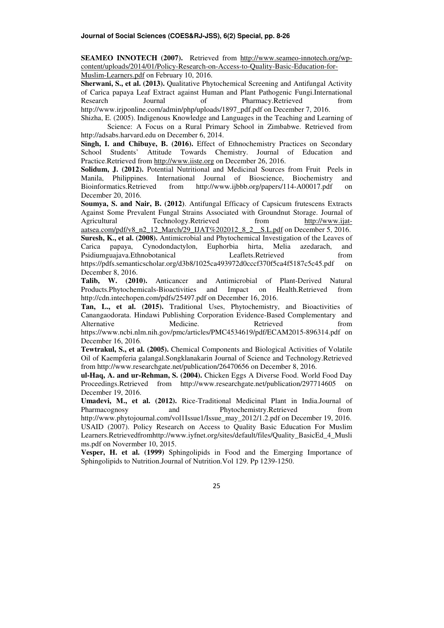**SEAMEO INNOTECH (2007).** Retrieved from http://www.seameo-innotech.org/wpcontent/uploads/2014/01/Policy-Research-on-Access-to-Quality-Basic-Education-for-Muslim-Learners.pdf on February 10, 2016.

**Sherwani, S., et al. (2013).** Qualitative Phytochemical Screening and Antifungal Activity of Carica papaya Leaf Extract against Human and Plant Pathogenic Fungi.International Research Journal of Pharmacy.Retrieved from http://www.irjponline.com/admin/php/uploads/1897\_pdf.pdf on December 7, 2016.

Shizha, E. (2005). Indigenous Knowledge and Languages in the Teaching and Learning of Science: A Focus on a Rural Primary School in Zimbabwe. Retrieved from http://adsabs.harvard.edu on December 6, 2014.

**Singh, I. and Chibuye, B. (2016).** Effect of Ethnochemistry Practices on Secondary School Students' Attitude Towards Chemistry. Journal of Education and Practice.Retrieved from http://www.iiste.org on December 26, 2016.

**Solidum, J. (2012).** Potential Nutritional and Medicinal Sources from Fruit Peels in Manila, Philippines. International Journal of Bioscience, Biochemistry and Bioinformatics.Retrieved from http://www.ijbbb.org/papers/114-A00017.pdf on December 20, 2016.

**Soumya, S. and Nair, B. (2012)**. Antifungal Efficacy of Capsicum frutescens Extracts Against Some Prevalent Fungal Strains Associated with Groundnut Storage. Journal of Agricultural Technology.Retrieved from http://www.ijataatsea.com/pdf/v8\_n2\_12\_March/29\_IJAT%202012\_8\_2\_\_S.L.pdf on December 5, 2016. **Suresh, K., et al. (2008).** Antimicrobial and Phytochemical Investigation of the Leaves of Carica papaya, Cynodondactylon, Euphorbia hirta, Melia azedarach, and Psidiumguajava.Ethnobotanical Leaflets.Retrieved from

https://pdfs.semanticscholar.org/d3b8/1025ca493972d0cccf370f5ca4f5187c5c45.pdf on December 8, 2016.

**Talib, W. (2010).** Anticancer and Antimicrobial of Plant-Derived Natural Products.Phytochemicals-Bioactivities and Impact on Health.Retrieved from http://cdn.intechopen.com/pdfs/25497.pdf on December 16, 2016.

**Tan, L., et al. (2015).** Traditional Uses, Phytochemistry, and Bioactivities of Canangaodorata. Hindawi Publishing Corporation Evidence-Based Complementary and Alternative Medicine. Retrieved from

https://www.ncbi.nlm.nih.gov/pmc/articles/PMC4534619/pdf/ECAM2015-896314.pdf on December 16, 2016.

**Tewtrakul, S., et al. (2005).** Chemical Components and Biological Activities of Volatile Oil of Kaempferia galangal.Songklanakarin Journal of Science and Technology.Retrieved from http://www.researchgate.net/publication/26470656 on December 8, 2016.

**ul-Haq, A. and ur-Rehman, S. (2004).** Chicken Eggs A Diverse Food. World Food Day Proceedings.Retrieved from http://www.researchgate.net/publication/297714605 on December 19, 2016.

**Umadevi, M., et al. (2012).** Rice-Traditional Medicinal Plant in India.Journal of Pharmacognosy and Phytochemistry.Retrieved from http://www.phytojournal.com/vol1Issue1/Issue\_may\_2012/1.2.pdf on December 19, 2016. USAID (2007). Policy Research on Access to Quality Basic Education For Muslim Learners.Retrievedfromhttp://www.iyfnet.org/sites/default/files/Quality\_BasicEd\_4\_Musli ms.pdf on Novermber 10, 2015.

**Vesper, H. et al. (1999)** Sphingolipids in Food and the Emerging Importance of Sphingolipids to Nutrition.Journal of Nutrition.Vol 129. Pp 1239-1250.